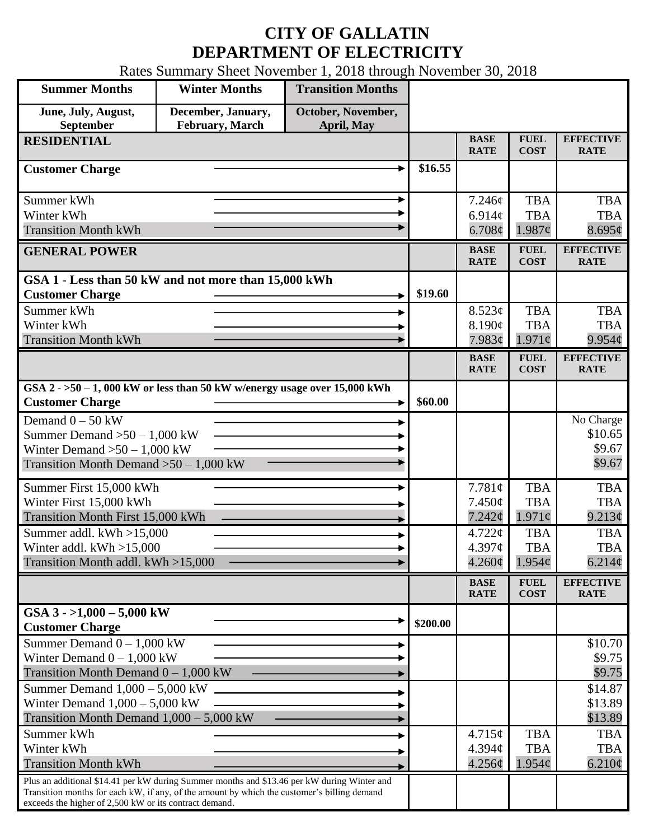## **CITY OF GALLATIN DEPARTMENT OF ELECTRICITY**

Rates Summary Sheet November 1, 2018 through November 30, 2018

| <b>Summer Months</b>                                                                                                                                                                                                                                 | <b>Winter Months</b>                         | <b>Transition Months</b>         |          |                                                  |                                                |                                                |
|------------------------------------------------------------------------------------------------------------------------------------------------------------------------------------------------------------------------------------------------------|----------------------------------------------|----------------------------------|----------|--------------------------------------------------|------------------------------------------------|------------------------------------------------|
| June, July, August,<br>September                                                                                                                                                                                                                     | December, January,<br><b>February, March</b> | October, November,<br>April, May |          |                                                  |                                                |                                                |
| <b>RESIDENTIAL</b>                                                                                                                                                                                                                                   |                                              |                                  |          | <b>BASE</b><br><b>RATE</b>                       | <b>FUEL</b><br><b>COST</b>                     | <b>EFFECTIVE</b><br><b>RATE</b>                |
| <b>Customer Charge</b>                                                                                                                                                                                                                               |                                              |                                  | \$16.55  |                                                  |                                                |                                                |
| Summer kWh<br>Winter kWh<br><b>Transition Month kWh</b>                                                                                                                                                                                              |                                              |                                  |          | 7.246¢<br>6.914 $\phi$<br>6.708¢                 | <b>TBA</b><br><b>TBA</b><br>1.987¢             | <b>TBA</b><br><b>TBA</b><br>8.695¢             |
| <b>GENERAL POWER</b>                                                                                                                                                                                                                                 |                                              |                                  |          | <b>BASE</b><br><b>RATE</b>                       | <b>FUEL</b><br><b>COST</b>                     | <b>EFFECTIVE</b><br><b>RATE</b>                |
| GSA 1 - Less than 50 kW and not more than 15,000 kWh<br><b>Customer Charge</b>                                                                                                                                                                       |                                              |                                  | \$19.60  |                                                  |                                                |                                                |
| Summer kWh<br>Winter kWh<br><b>Transition Month kWh</b>                                                                                                                                                                                              |                                              |                                  |          | 8.523¢<br>8.190c<br>7.983c                       | <b>TBA</b><br><b>TBA</b><br>$1.971\phi$        | <b>TBA</b><br><b>TBA</b><br>9.954 <sub>c</sub> |
|                                                                                                                                                                                                                                                      |                                              |                                  |          | <b>BASE</b><br><b>RATE</b>                       | <b>FUEL</b><br><b>COST</b>                     | <b>EFFECTIVE</b><br><b>RATE</b>                |
| GSA $2 - 50 - 1$ , 000 kW or less than 50 kW w/energy usage over 15,000 kWh<br><b>Customer Charge</b>                                                                                                                                                |                                              |                                  | \$60.00  |                                                  |                                                |                                                |
| Demand $0 - 50$ kW<br>Summer Demand $>50 - 1,000$ kW<br>Winter Demand $>50-1,000$ kW<br>Transition Month Demand $>50-1,000$ kW                                                                                                                       |                                              |                                  |          |                                                  |                                                | No Charge<br>\$10.65<br>\$9.67<br>\$9.67       |
| Summer First 15,000 kWh<br>Winter First 15,000 kWh<br>Transition Month First 15,000 kWh                                                                                                                                                              |                                              |                                  |          | 7.781¢<br>$7.450\phi$<br>7.242¢                  | <b>TBA</b><br><b>TBA</b><br>$1.971\phi$        | <b>TBA</b><br><b>TBA</b><br>9.213¢             |
| Summer addl. kWh >15,000<br>Winter addl. $kWh > 15,000$<br>Transition Month addl. kWh >15,000                                                                                                                                                        |                                              |                                  |          | $4.722 \mathcal{C}$<br>4.397c<br>$4.260\text{¢}$ | <b>TBA</b><br><b>TBA</b><br>$1.954\phi$        | <b>TBA</b><br><b>TBA</b><br>6.214¢             |
|                                                                                                                                                                                                                                                      |                                              |                                  |          | <b>BASE</b><br><b>RATE</b>                       | ${\bf F}{\bf U}{\bf E}{\bf L}$<br><b>COST</b>  | <b>EFFECTIVE</b><br><b>RATE</b>                |
| GSA $3 - 1,000 - 5,000$ kW<br><b>Customer Charge</b>                                                                                                                                                                                                 |                                              |                                  | \$200.00 |                                                  |                                                |                                                |
| Summer Demand $0 - 1,000$ kW<br>Winter Demand $0 - 1,000$ kW<br>Transition Month Demand $0 - 1,000$ kW                                                                                                                                               |                                              |                                  |          |                                                  |                                                | \$10.70<br>\$9.75<br>\$9.75                    |
| Summer Demand $1,000 - 5,000$ kW.<br>Winter Demand $1,000 - 5,000$ kW<br>Transition Month Demand $1,000 - 5,000$ kW                                                                                                                                  |                                              |                                  |          |                                                  |                                                | \$14.87<br>\$13.89<br>\$13.89                  |
| Summer kWh<br>Winter kWh<br><b>Transition Month kWh</b>                                                                                                                                                                                              |                                              |                                  |          | 4.715¢<br>4.394 <sub>c</sub><br>4.256¢           | <b>TBA</b><br><b>TBA</b><br>$1.954\mathcal{C}$ | <b>TBA</b><br><b>TBA</b><br>6.210¢             |
| Plus an additional \$14.41 per kW during Summer months and \$13.46 per kW during Winter and<br>Transition months for each kW, if any, of the amount by which the customer's billing demand<br>exceeds the higher of 2,500 kW or its contract demand. |                                              |                                  |          |                                                  |                                                |                                                |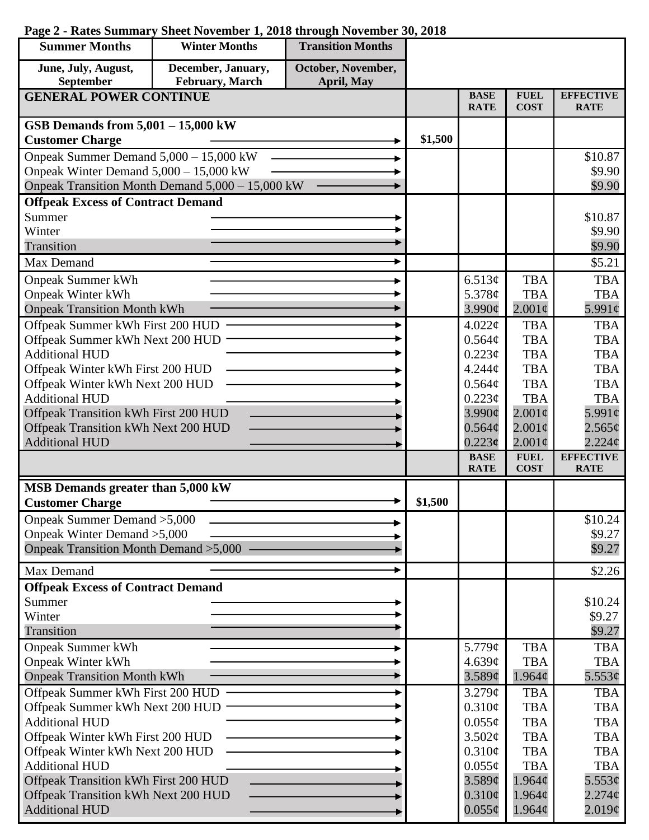|  |  |  |  |  |  |  |  | Page 2 - Rates Summary Sheet November 1, 2018 through November 30, 2018 |  |  |  |
|--|--|--|--|--|--|--|--|-------------------------------------------------------------------------|--|--|--|
|--|--|--|--|--|--|--|--|-------------------------------------------------------------------------|--|--|--|

| <b>Summer Months</b>                                                        | <b>Winter Months</b>                             | <b>Transition Months</b>         |         |                            |                            |                                 |
|-----------------------------------------------------------------------------|--------------------------------------------------|----------------------------------|---------|----------------------------|----------------------------|---------------------------------|
| June, July, August,<br>September                                            | December, January,<br>February, March            | October, November,<br>April, May |         |                            |                            |                                 |
| <b>GENERAL POWER CONTINUE</b>                                               |                                                  |                                  |         | <b>BASE</b><br><b>RATE</b> | <b>FUEL</b><br><b>COST</b> | <b>EFFECTIVE</b><br><b>RATE</b> |
| GSB Demands from $5,001 - 15,000$ kW<br><b>Customer Charge</b>              |                                                  |                                  | \$1,500 |                            |                            |                                 |
| Onpeak Summer Demand 5,000 - 15,000 kW                                      |                                                  |                                  |         |                            |                            | \$10.87                         |
| Onpeak Winter Demand 5,000 - 15,000 kW                                      |                                                  |                                  |         |                            |                            | \$9.90                          |
|                                                                             | Onpeak Transition Month Demand 5,000 - 15,000 kW |                                  |         |                            |                            | \$9.90                          |
| <b>Offpeak Excess of Contract Demand</b>                                    |                                                  |                                  |         |                            |                            |                                 |
| Summer                                                                      |                                                  |                                  |         |                            |                            | \$10.87                         |
| Winter                                                                      |                                                  |                                  |         |                            |                            | \$9.90                          |
| Transition                                                                  |                                                  |                                  |         |                            |                            | \$9.90                          |
| Max Demand                                                                  |                                                  |                                  |         |                            |                            | \$5.21                          |
| <b>Onpeak Summer kWh</b>                                                    |                                                  |                                  |         | 6.513¢                     | <b>TBA</b>                 | <b>TBA</b>                      |
| Onpeak Winter kWh                                                           |                                                  |                                  |         | 5.378¢                     | <b>TBA</b>                 | <b>TBA</b>                      |
| <b>Onpeak Transition Month kWh</b>                                          |                                                  |                                  |         | $3.990\text{¢}$            | $2.001\phi$                | 5.991¢                          |
| Offpeak Summer kWh First 200 HUD                                            |                                                  |                                  |         | 4.022 <sub>c</sub>         | <b>TBA</b>                 | <b>TBA</b>                      |
| Offpeak Summer kWh Next 200 HUD                                             |                                                  |                                  |         | 0.564¢                     | <b>TBA</b>                 | <b>TBA</b>                      |
| <b>Additional HUD</b>                                                       |                                                  |                                  |         | $0.223\phi$                | <b>TBA</b>                 | <b>TBA</b>                      |
| Offpeak Winter kWh First 200 HUD                                            |                                                  |                                  |         | 4.244c                     | <b>TBA</b>                 | <b>TBA</b>                      |
| Offpeak Winter kWh Next 200 HUD                                             |                                                  |                                  |         | 0.564¢                     | <b>TBA</b>                 | <b>TBA</b>                      |
| <b>Additional HUD</b><br>Offpeak Transition kWh First 200 HUD               |                                                  |                                  |         | 0.223¢<br>$3.990\text{¢}$  | <b>TBA</b><br>$2.001\phi$  | <b>TBA</b><br>5.991 $\phi$      |
| Offpeak Transition kWh Next 200 HUD                                         |                                                  |                                  |         | 0.564¢                     | $2.001\phi$                | $2.565\phi$                     |
| <b>Additional HUD</b>                                                       |                                                  |                                  |         | 0.223c                     | $2.001\phi$                | 2.224 <sub>c</sub>              |
|                                                                             |                                                  |                                  |         | <b>BASE</b>                | <b>FUEL</b>                | <b>EFFECTIVE</b>                |
|                                                                             |                                                  |                                  |         | <b>RATE</b>                | <b>COST</b>                | <b>RATE</b>                     |
| MSB Demands greater than 5,000 kW                                           |                                                  |                                  |         |                            |                            |                                 |
| <b>Customer Charge</b>                                                      |                                                  |                                  | \$1,500 |                            |                            |                                 |
| Onpeak Summer Demand > 5,000                                                |                                                  |                                  |         |                            |                            | \$10.24                         |
| Onpeak Winter Demand > 5,000                                                |                                                  |                                  |         |                            |                            | \$9.27<br>\$9.27                |
| Onpeak Transition Month Demand > 5,000                                      |                                                  |                                  |         |                            |                            |                                 |
| Max Demand                                                                  |                                                  |                                  |         |                            |                            | \$2.26                          |
| <b>Offpeak Excess of Contract Demand</b>                                    |                                                  |                                  |         |                            |                            |                                 |
| Summer<br>Winter                                                            |                                                  |                                  |         |                            |                            | \$10.24<br>\$9.27               |
| Transition                                                                  |                                                  |                                  |         |                            |                            | \$9.27                          |
| <b>Onpeak Summer kWh</b>                                                    |                                                  |                                  |         | 5.779 $\phi$               | <b>TBA</b>                 | <b>TBA</b>                      |
| <b>Onpeak Winter kWh</b>                                                    |                                                  |                                  |         | 4.639¢                     | <b>TBA</b>                 | <b>TBA</b>                      |
| <b>Onpeak Transition Month kWh</b>                                          |                                                  |                                  |         | 3.589¢                     | $1.964\phi$                | 5.553 $\phi$                    |
| Offpeak Summer kWh First 200 HUD                                            |                                                  |                                  |         | 3.279¢                     | <b>TBA</b>                 | <b>TBA</b>                      |
| Offpeak Summer kWh Next 200 HUD                                             |                                                  |                                  |         | $0.310\phi$                | <b>TBA</b>                 | <b>TBA</b>                      |
| <b>Additional HUD</b>                                                       |                                                  |                                  |         | $0.055\phi$                | <b>TBA</b>                 | <b>TBA</b>                      |
| Offpeak Winter kWh First 200 HUD                                            |                                                  |                                  |         | 3.502¢                     | <b>TBA</b>                 | <b>TBA</b>                      |
| Offpeak Winter kWh Next 200 HUD                                             |                                                  |                                  |         | 0.310¢                     | <b>TBA</b>                 | <b>TBA</b>                      |
| <b>Additional HUD</b>                                                       |                                                  |                                  |         | $0.055\phi$                | <b>TBA</b><br>1.964¢       | <b>TBA</b>                      |
| Offpeak Transition kWh First 200 HUD<br>Offpeak Transition kWh Next 200 HUD |                                                  |                                  |         | 3.589¢<br>$0.310\phi$      | 1.964¢                     | 5.553¢<br>$2.274\phi$           |
| <b>Additional HUD</b>                                                       |                                                  |                                  |         | $0.055\phi$                | $1.964\phi$                | 2.019¢                          |